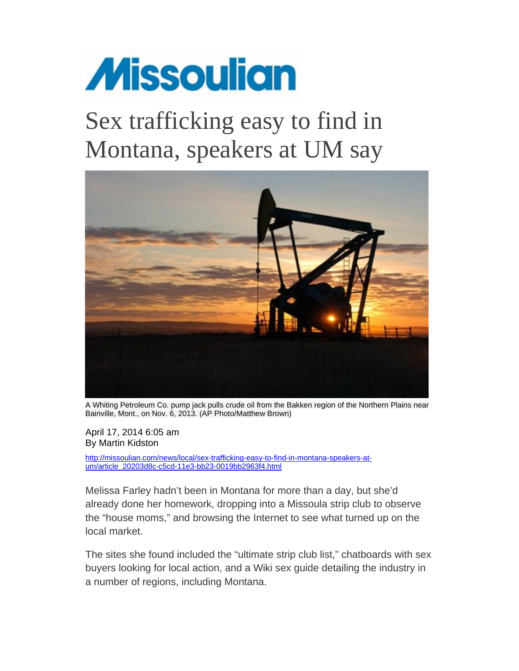

## Sex trafficking easy to find in Montana, speakers at UM say



A Whiting Petroleum Co. pump jack pulls crude oil from the Bakken region of the Northern Plains near Bainville, Mont., on Nov. 6, 2013. (AP Photo/Matthew Brown)

April 17, 2014 6:05 am By Martin Kidston

http://missoulian.com/news/local/sex-trafficking-easy-to-find-in-montana-speakers-atum/article\_20203d8c-c5cd-11e3-bb23-0019bb2963f4.html

Melissa Farley hadn't been in Montana for more than a day, but she'd already done her homework, dropping into a Missoula strip club to observe the "house moms," and browsing the Internet to see what turned up on the local market.

The sites she found included the "ultimate strip club list," chatboards with sex buyers looking for local action, and a Wiki sex guide detailing the industry in a number of regions, including Montana.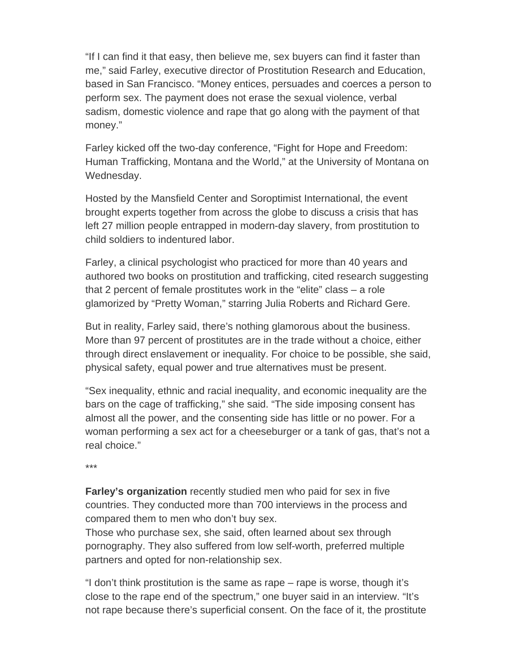"If I can find it that easy, then believe me, sex buyers can find it faster than me," said Farley, executive director of Prostitution Research and Education, based in San Francisco. "Money entices, persuades and coerces a person to perform sex. The payment does not erase the sexual violence, verbal sadism, domestic violence and rape that go along with the payment of that money."

Farley kicked off the two-day conference, "Fight for Hope and Freedom: Human Trafficking, Montana and the World," at the University of Montana on Wednesday.

Hosted by the Mansfield Center and Soroptimist International, the event brought experts together from across the globe to discuss a crisis that has left 27 million people entrapped in modern-day slavery, from prostitution to child soldiers to indentured labor.

Farley, a clinical psychologist who practiced for more than 40 years and authored two books on prostitution and trafficking, cited research suggesting that 2 percent of female prostitutes work in the "elite" class – a role glamorized by "Pretty Woman," starring Julia Roberts and Richard Gere.

But in reality, Farley said, there's nothing glamorous about the business. More than 97 percent of prostitutes are in the trade without a choice, either through direct enslavement or inequality. For choice to be possible, she said, physical safety, equal power and true alternatives must be present.

"Sex inequality, ethnic and racial inequality, and economic inequality are the bars on the cage of trafficking," she said. "The side imposing consent has almost all the power, and the consenting side has little or no power. For a woman performing a sex act for a cheeseburger or a tank of gas, that's not a real choice."

\*\*\*

**Farley's organization** recently studied men who paid for sex in five countries. They conducted more than 700 interviews in the process and compared them to men who don't buy sex.

Those who purchase sex, she said, often learned about sex through pornography. They also suffered from low self-worth, preferred multiple partners and opted for non-relationship sex.

"I don't think prostitution is the same as rape – rape is worse, though it's close to the rape end of the spectrum," one buyer said in an interview. "It's not rape because there's superficial consent. On the face of it, the prostitute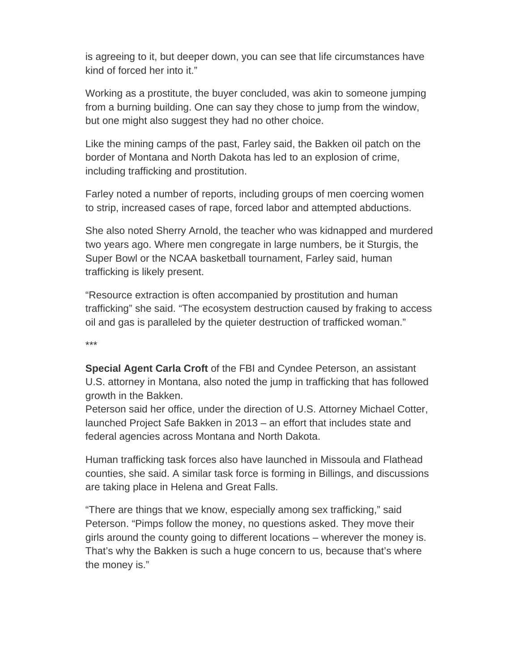is agreeing to it, but deeper down, you can see that life circumstances have kind of forced her into it."

Working as a prostitute, the buyer concluded, was akin to someone jumping from a burning building. One can say they chose to jump from the window, but one might also suggest they had no other choice.

Like the mining camps of the past, Farley said, the Bakken oil patch on the border of Montana and North Dakota has led to an explosion of crime, including trafficking and prostitution.

Farley noted a number of reports, including groups of men coercing women to strip, increased cases of rape, forced labor and attempted abductions.

She also noted Sherry Arnold, the teacher who was kidnapped and murdered two years ago. Where men congregate in large numbers, be it Sturgis, the Super Bowl or the NCAA basketball tournament, Farley said, human trafficking is likely present.

"Resource extraction is often accompanied by prostitution and human trafficking" she said. "The ecosystem destruction caused by fraking to access oil and gas is paralleled by the quieter destruction of trafficked woman."

\*\*\*

**Special Agent Carla Croft** of the FBI and Cyndee Peterson, an assistant U.S. attorney in Montana, also noted the jump in trafficking that has followed growth in the Bakken.

Peterson said her office, under the direction of U.S. Attorney Michael Cotter, launched Project Safe Bakken in 2013 – an effort that includes state and federal agencies across Montana and North Dakota.

Human trafficking task forces also have launched in Missoula and Flathead counties, she said. A similar task force is forming in Billings, and discussions are taking place in Helena and Great Falls.

"There are things that we know, especially among sex trafficking," said Peterson. "Pimps follow the money, no questions asked. They move their girls around the county going to different locations – wherever the money is. That's why the Bakken is such a huge concern to us, because that's where the money is."